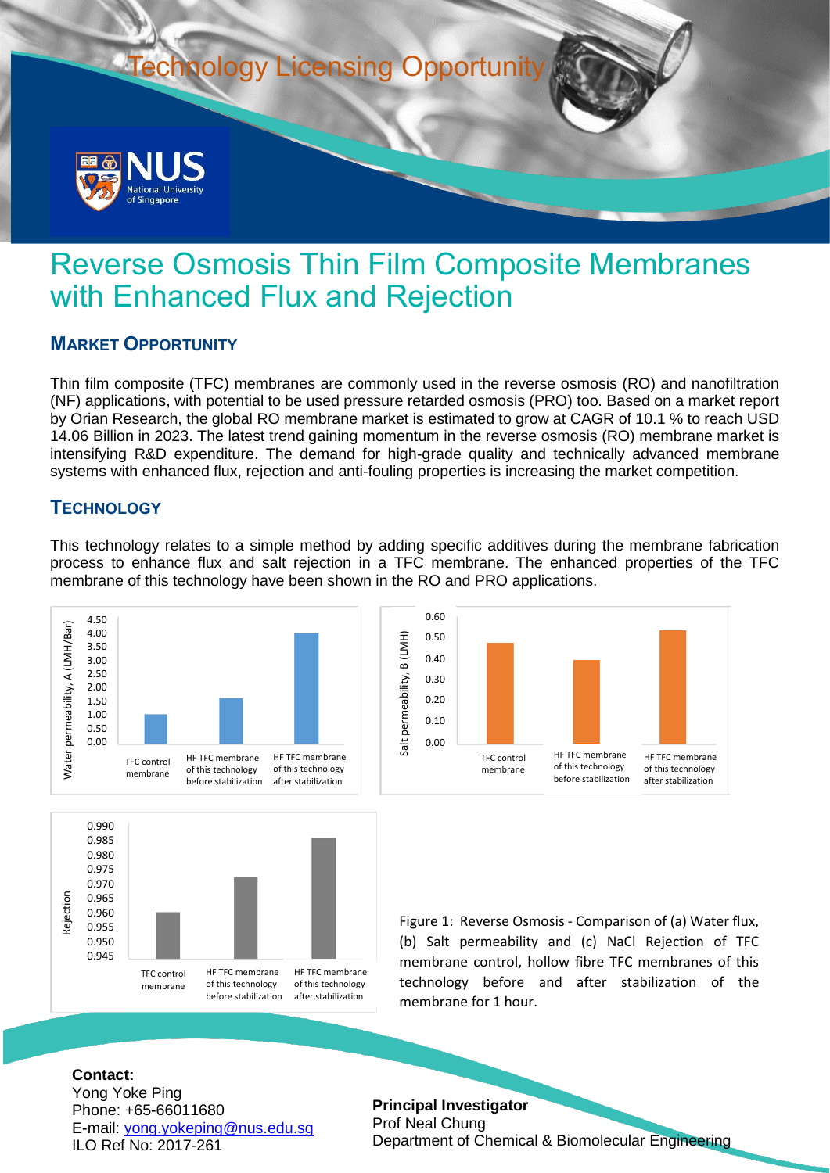

# Reverse Osmosis Thin Film Composite Membranes with Enhanced Flux and Rejection

# **MARKET OPPORTUNITY**

Thin film composite (TFC) membranes are commonly used in the reverse osmosis (RO) and nanofiltration (NF) applications, with potential to be used pressure retarded osmosis (PRO) too. Based on a market report by Orian Research, the global RO membrane market is estimated to grow at CAGR of 10.1 % to reach USD 14.06 Billion in 2023. The latest trend gaining momentum in the reverse osmosis (RO) membrane market is intensifying R&D expenditure. The demand for high-grade quality and technically advanced membrane systems with enhanced flux, rejection and anti-fouling properties is increasing the market competition.

# **TECHNOLOGY**

This technology relates to a simple method by adding specific additives during the membrane fabrication process to enhance flux and salt rejection in a TFC membrane. The enhanced properties of the TFC membrane of this technology have been shown in the RO and PRO applications.







Figure 1: Reverse Osmosis - Comparison of (a) Water flux, (b) Salt permeability and (c) NaCl Rejection of TFC membrane control, hollow fibre TFC membranes of this technology before and after stabilization of the membrane for 1 hour.

#### **Contact:**

Yong Yoke Ping Phone: +65-66011680 E-mail: [yong.yokeping@nus.edu.sg](mailto:yong.yokeping@nus.edu.sg) ILO Ref No: 2017-261

**Principal Investigator** Prof Neal Chung Department of Chemical & Biomolecular Engineering